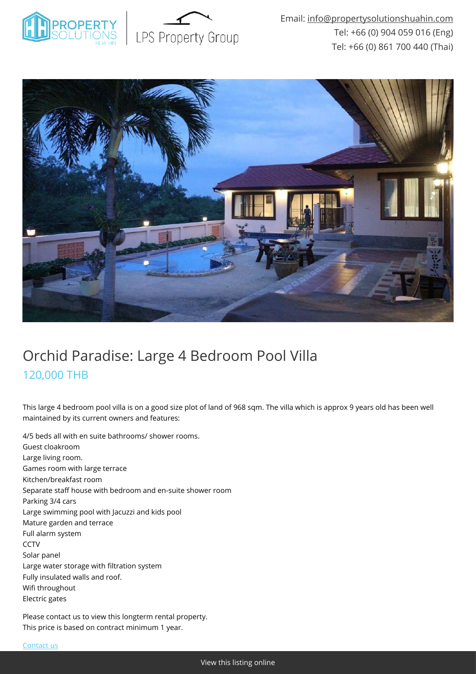



## Orchid Paradise: Large 4 Bedroom Pool Villa 120,000 THB

This large 4 bedroom pool villa is on a good size plot of land of 968 sqm. The villa which is approx 9 years old has been well maintained by its current owners and features:

4/5 beds all with en suite bathrooms/ shower rooms. Guest cloakroom Large living room. Games room with large terrace Kitchen/breakfast room Separate staff house with bedroom and en-suite shower room Parking 3/4 cars Large swimming pool with Jacuzzi and kids pool Mature garden and terrace Full alarm system **CCTV** Solar panel Large water storage with filtration system Fully insulated walls and roof. Wifi throughout Electric gates

Please contact us to view this longterm rental property. This price is based on contract minimum 1 year.